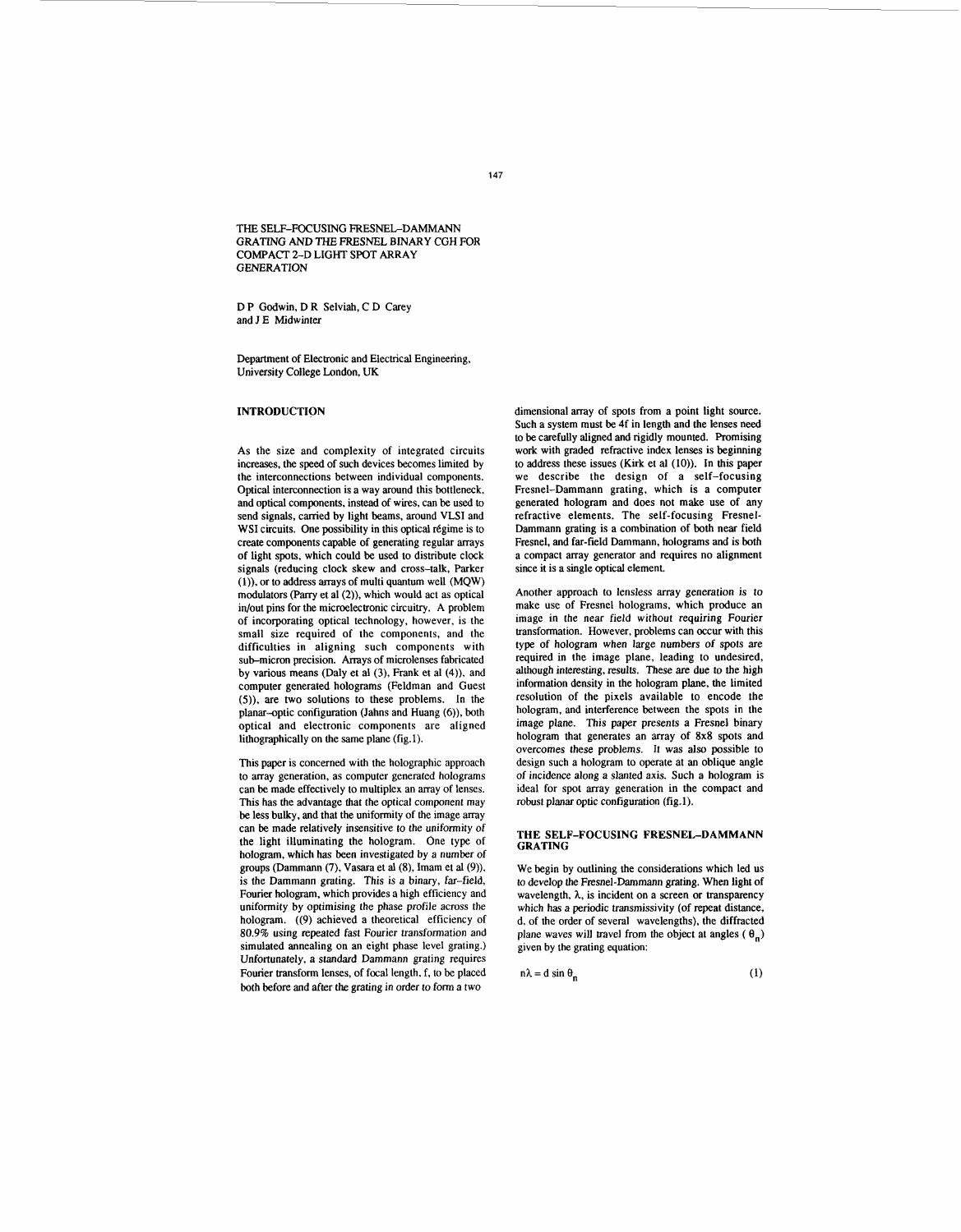THE SELE-FOCUSING FRESNEL-DAMMANN GRATING AND THE FRESNEL BINARY CGH FOR **GENERATION** COMPACT 2-D LIGHT SPOT ARRAY

D P Godwin, D R Selviah, C D Carey and J E Midwinter

Department of Electronic and Electrical Engineering, University College London, UK

## **INTRODUCTION**

As the size and complexity of integrated circuits increases, the speed of such devices becomes limited by the interconnections between individual components. Optical interconnection is a way around this bottleneck, and optical components, instead of wires, can be used to send signals, carried by light beams, around VLSI and WSI circuits. One possibility in this optical régime is to create components capable of generating regular arrays of light **spots,** which could be used to distribute clock signals (reducing clock skew and cross-talk, Parker **(1)).** or to address arrays of multi quantum well (MQW) modulators *(Parry* et a1 **(2)).** which would act as optical in/out pins for the microelectronic circuitry. A problem of incorporating optical technology, however, is the small size required of the components, and the difficulties in aligning such components with sub-micron precision. Arrays of microlenses fabricated by various means (Daly et a1 **(3),** Frank et a1 (4)), and computer generated holograms (Feldman and Guest *(5)).* are two solutions to these problems. In the planar-optic configuration (Jahns and Huang *(6)),* both optical and electronic components are aligned lithographically on the same plane (fig.1).

This paper is concerned with the holographic approach to array generation, as computer generated holograms can be made effectively to multiplex an array of lenses. This has the advantage that the optical component may be less bulky, and that the uniformity of the image array can be made relatively insensitive to the uniformity of the light illuminating the hologram. One type of hologram, which has been investigated by a number of groups (Dammann (7), Vasara et al (8), Imam et al (9)), is the Dammann grating. This is a binary, far-field, Fourier hologram, which provides a high efficiency and uniformity by optimising the phase profile across the hologram. ((9) achieved a theoretical efficiency of 80.9% using repeated fast Fourier transformation and simulated annealing on an eight phase level grating.) Unfortunately, a standard Dammann grating requires Fourier transform lenses, of focal length, f, to be placed both before and after the grating in order to form a two

dimensional array of spots from a point light source. Such a system must be 4f in length and the lenses need to be carefully aligned and rigidly mounted. Promising work with graded refractive index lenses is beginning to address these issues (Kirk et a1 (IO)). In this paper we describe the design of a self-focusing Fresnel-Dammann grating, which is a computer generated hologram and does not make use of any refractive elements. The self-focusing Fresnel-Dammann grating is a combination of both near field Fresnel, and far-field Dammann, holograms and is both a compact array generator and requires no alignment since it is a single optical element.

Another approach to lensless array generation is to make use of Fresnel holograms, which produce an image in the near field without requiring Fourier transformation. However, problems can occur with this type of hologram when large numbers of spots are required in the image plane, leading to undesired, although interesting, results. These are due to the high information density in the hologram plane, the limited resolution of the pixels available to encode the hologram, and interference between the spots in the image plane. This paper presents a Fresnel binary hologram that generates an array of 8x8 spots and overcomes these problems. It was also possible to design such a hologram to operate at an oblique angle of incidence along a slanted axis. Such a hologram is ideal for spot array generation in the compact and robust planar optic configuration (fig.1).

#### **THE SELF-FOCUSING FRESNEL-DAMMANN GRATING**

We begin by outlining the considerations which led us to develop *the* Fresnel-Dmmann grating. When light of wavelength, *h,* is incident on a screen or transparency which has a periodic transmissivity (of repeat distance, d, of the order of several wavelengths), the diffracted plane waves will travel from the object at angles  $(\theta_n)$ given by the grating equation:

$$
n\lambda = d \sin \theta_n \tag{1}
$$

**147**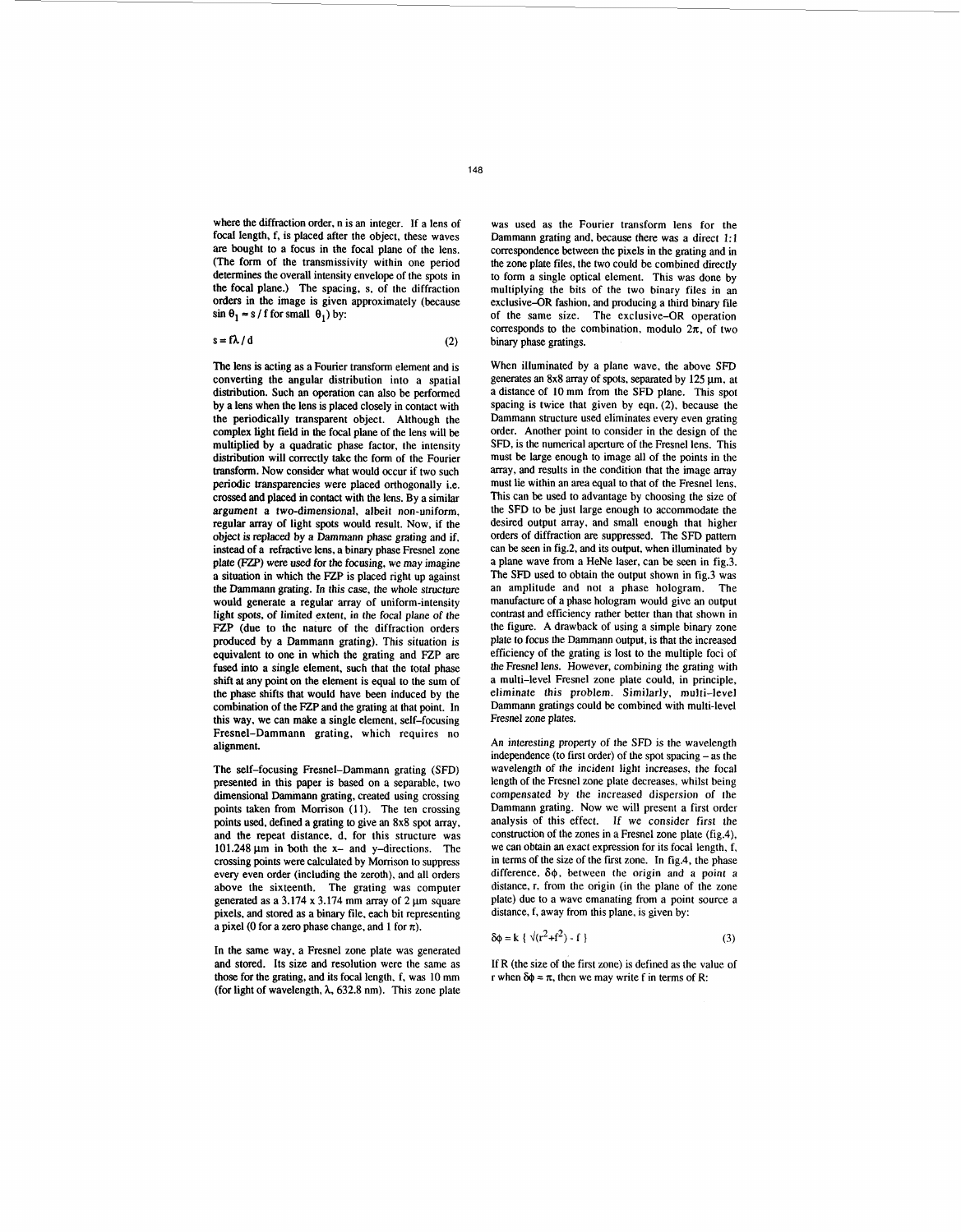where the diffraction order, n is an integer. If a lens of focal length, f, is placed after the object, these waves are bought to a focus in the focal plane of the lens. (The form of the transmissivity within one period determines the overall intensity envelope of the spots in the focal plane.) The spacing, **s,** of the diffraction orders in the image is given approximately (because  $\sin \theta_1 \approx s / f$  for small  $\theta_1$ ) by:

 $s = \mathbf{I} \wedge \mathbf{I} \mathbf{a}$  (2)

The lens is acting as a Fourier transform element and is converting the angular distribution into a spatial distribution. Such **an** operation can also be performed by a lens when the lens is placed closely in contact with the periodically transparent object. Although the complex light field in the focal plane of the lens will be multiplied by a quadratic phase factor, the intensity distribution will correctly take the form of the Fourier transform. Now consider what would occur if two such periodic transparencies were placed orthogonally i.e. crossed and placed in contact with the lens. By a similar argument a two-dimensional, albeit non-uniform, regular array of light spots would result. Now, if the object is replaced by a Dammann phase grating and if, instead of a refractive lens, a binary phase Fresnel zone plate (Fzp) were **used** for the focusing, we may imagine a situation in which the **FZP** is placed right up against the Dammann grating. In this case, the whole structure would generate a regular array of uniform-intensity light **spots,** of limited extent, in the focal plane of the **FZP** (due to the nature of the diffraction orders produced by a Dammann grating). This situation is equivalent to one in which the grating and **FZP** are fused into a single element, such that the total phase shift at any point on the element is equal to the sum of the phase shifts that would have been induced by the combination of the FZP and the grating at that point. In this way, we can make a single element, self-focusing Fresnel-Dammann grating, which requires no alignment.

The self-focusing Fresnel-Dammann grating (SFD) presented in this paper is based on a separable, two dimensional Dammann grating, created using crossing points taken from Morrison (11). The ten crossing points **used,** defined a grating to give **an** 8x8 spot array, and the repeat distance, d, for this structure was 101.248  $\mu$ m in both the x- and y-directions. The crossing points were calculated by Momson to suppress every even order (including the zeroth), and all orders above the sixteenth. The grating was computer generated as a  $3.174 \times 3.174$  mm array of 2 um square pixels, **and** stored **as** a binary file, each bit representing a pixel (0 for a zero phase change, and 1 for  $\pi$ ).

In the same way, a Fresnel zone plate was generated and stored. Its size and resolution were the same as those for the grating, and its focal length, f, was 10 mm (for light of wavelength, *h,* 632.8 nm). This zone plate was used as the Fourier transform lens for the Dammann grating and, because there was a direct 1:l correspondence between the pixels in the grating and in the zone plate files, the two could be combined directly to form a single optical element. This was done by multiplying the bits of the two binary files in an exclusive-OR fashion, and producing a third binary file of the same size. The exclusive-OR operation corresponds to the combination, modulo  $2\pi$ , of two binary phase gratings.

When illuminated by a plane wave, the above SFD generates an  $8x8$  array of spots, separated by  $125 \text{ µm}$ , at a distance of 10 mm from the SFD plane. This spot spacing is twice that given by eqn. (2), because the Dammann structure used eliminates every even grating order. Another point to consider in the design of the SFD, is the numerical aperture of the Fresnel lens. This must be large enough to image all of the points in the array, and results in the condition that the image array must lie within an area equal to that of the Fresnel lens. This can be used to advantage by choosing the size of the SFD to be just large enough to accommodate the desired output array, and small enough that higher orders of diffraction are suppressed. The SFD pattem can be seen in fig.2, and its output, when illuminated by a plane wave from a HeNe laser, can be seen in fig.3. The SFD used to obtain the output shown in fig.3 was an amplitude and not a phase hologram. The manufacture of a phase hologram would give **an** output contrast and efficiency rather better than that shown in the figure. A drawback of using a simple binary zone plate to focus the Dammann output, is that the increased efficiency of the grating is lost to the multiple foci of the Fresnel lens. However, combining the grating with a multi-level Fresnel zone plate could, in principle, eliminate this problem. Similarly, multi-level Dammann gratings could be combined with multi-level Fresnel zone plates.

An interesting property of the SFD is the wavelength independence (to first order) of the spot spacing -as the wavelength of the incident light increases, the focal length of the Fresnel zone plate decreases, whilst being compensated by the increased dispersion of the Dammann grating. Now we will present a first order analysis of this effect. If we consider first the construction of the zones in a Fresnel zone plate (fig.4), we can obtain an exact expression for its focal length, f, in terms of the size of the first zone. In fig.4, the phase difference,  $\delta\phi$ , between the origin and a point a distance, **r,** from the origin (in the plane of the zone plate) due to a wave emanating from a point source a distance, f, away from this plane, is given by:

$$
\delta \phi = k \{ \sqrt{(r^2 + f^2)} - f \}
$$
 (3)

If R (the size of the first zone) is defined as the value of  $r$  when  $\delta\phi = \pi$ , then we may write f in terms of R: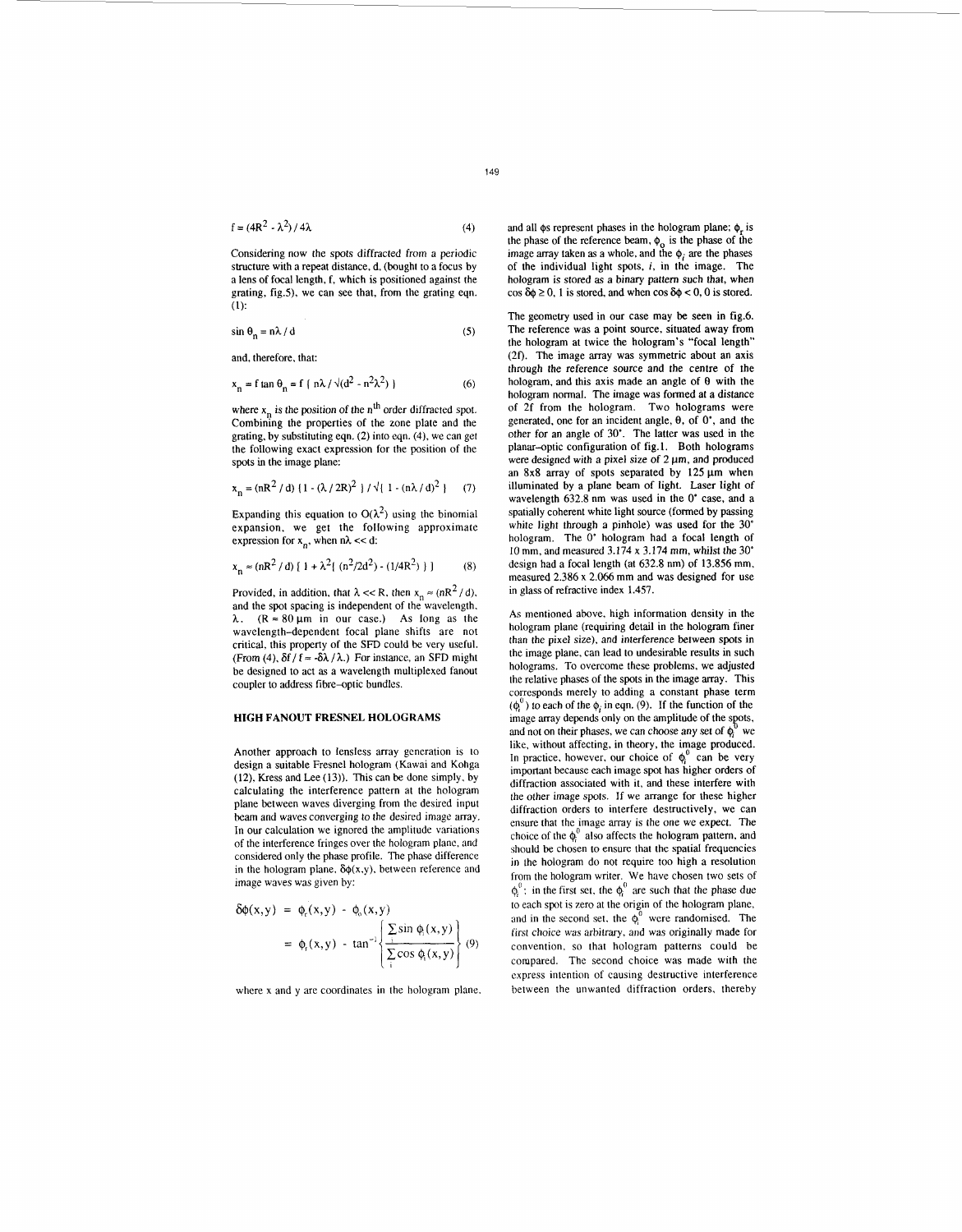$f = (4R^2 - \lambda^2)/4\lambda$  (4)

Considering now the spots diffracted from a periodic structure with a repeat distance, d, (bought to a focus by a lens of focal length, f, which is positioned against the grating, fig.5), we can see that, from the grating eqn.  $(1)$ :

$$
\sin \theta_n = n\lambda / d \tag{5}
$$

and, therefore, that:

$$
x_n = f \tan \theta_n = f \left( n\lambda / \sqrt{d^2 - n^2 \lambda^2} \right)
$$
 (6)

where  $x_n$  is the position of the n<sup>th</sup> order diffracted spot. Combining the properties of the zone plate and the grating, by substituting eqn. **(2)** into eqn. (4), we can get the following exact expression for the position of the spots in the image plane:

$$
x_n = (nR^2 / d) \{1 - (\lambda / 2R)^2\} / \sqrt{\{1 - (n\lambda / d)^2\}}
$$
 (7)

Expanding this equation to  $O(\lambda^2)$  using the binomial expansion, we get the following approximate expression for  $x_n$ , when  $n\lambda \ll d$ :

$$
x_n \approx (nR^2 / d) [1 + \lambda^2 \{ (n^2 / 2d^2) - (1/4R^2) \} ]
$$
 (8)

Provided, in addition, that  $\lambda \ll R$ , then  $x_n \approx (nR^2/d)$ , and the spot spacing is independent of the wavelength.  $\lambda$ .  $(R \approx 80 \,\mu\text{m}$  in our case.) As long as the wavelength-dependent focal plane shifts are not critical, this property of the SFD could be very useful. (From (4),  $\delta f / f \approx -\delta \lambda / \lambda$ .) For instance, an SFD might be designed to act **as** a wavelength multiplexed fanout coupler to address fibre-optic bundles.

## **HIGH FANOUT FRESNEL HOLOGRAMS**

Another approach to lensless array generation is to design a suitable Fresnel hologram (Kawai and Kohga (12), Kress and Lee (13)). This can be done simply. by calculating the interference pattern at the hologram plane between waves diverging from the desired input beam and waves converging to the desired image array. In our calculation we ignored the amplitude variations of the interference fringes over the hologram plane, and considered only the phase profile. The phase difference in the hologram plane,  $\delta \phi(x,y)$ , between reference and image waves was given by:

$$
\delta\phi(x,y) = \phi_r(x,y) - \phi_o(x,y)
$$
  
=  $\phi_r(x,y) - \tan^{-1}\left\{\frac{\sum_i \sin \phi_i(x,y)}{\sum_i \cos \phi_i(x,y)}\right\}$  (9)

where x and y are coordinates in the hologram plane.

and all  $\phi$ s represent phases in the hologram plane;  $\phi$  is the phase of the reference beam,  $\phi_{0}$  is the phase of the image array taken as a whole, and the  $\phi_i$  are the phases of the individual light spots, *i,* in the image. The hologram is stored as a binary pattem such that, when  $\cos \delta \phi \ge 0$ , 1 is stored, and when  $\cos \delta \phi < 0$ , 0 is stored.

The geometry used in our case may be seen in fig.6. The reference was a point source, situated away from the hologram at twice the hologram's "focal length"  $(2f)$ . The image array was symmetric about an axis through the reference source and the centre of the hologram, and this axis made an angle of *8* with the hologram normal. The image was formed at a distance of 2f from the hologram. Two holograms were generated, one for an incident angle,  $\theta$ , of  $0^{\circ}$ , and the other for an angle of 30'. The latter was used in the planar-optic configuration of fig. 1. Both holograms were designed with a pixel size of  $2 \mu m$ , and produced an 8x8 array of spots separated by  $125 \mu m$  when illuminated by a plane beam of light. Laser light of wavelength 632.8 nm was used in the *0'* case, and a spatially coherent white light source (formed by passing white light through a pinhole) was used **for** the 30' hologram. The 0' hologram had a focal length of 10 mm, and measured  $3.174 \times 3.174$  mm, whilst the 30° design had a focal length (at 632.8 nm) of 13.856 mm, measured 2.386 x 2.066 mm and was designed for use in glass of refractive index 1.457.

As mentioned above. high information density in the hologram plane (requiring detail in the hologram finer than the pixel size), and interference between **spots** in the image plane, can lead to undesirable results **in** such holograms. To overcome these problems, we adjusted the relative phases of the spots in the image array. This corresponds merely to adding **a** constant phase term  $(\phi_i^0)$  to each of the  $\phi_i$  in eqn. (9). If the function of the image array depends only on the amplitude of the spots, and not on their phases, we can choose any set of  $\phi^0$  we and not on their phases, we can choose any set of  $\phi_i^0$  we like, without affecting, in theory, the image produced. In practice, however, our choice of  $\phi_i^0$  can be very important because each image spot has higher orders of diffraction associated with it, and these interfere with the other image spots. **If** we arrange for these higher diffraction orders to interfere destructively, we can ensure that the image array is the one we expect. The choice of the  $\phi_i^0$  also affects the hologram pattern, and should be chosen to ensure that the spatial frequencies in the hologram do not require too high a resolution from the hologram writer. We have chosen two sets of  $\phi_i^0$ : in the first set, the  $\phi_i^0$  are such that the phase due to each spot is zero at the origin of the hologram plane, and in the second set, the  $\phi_i^0$  were randomised. The first choice was arbitrary, and was originally made for convention, so that hologram patterns could be compared. The second choice was made with the express intention of causing destructive interference between the unwanted diffraction orders, thereby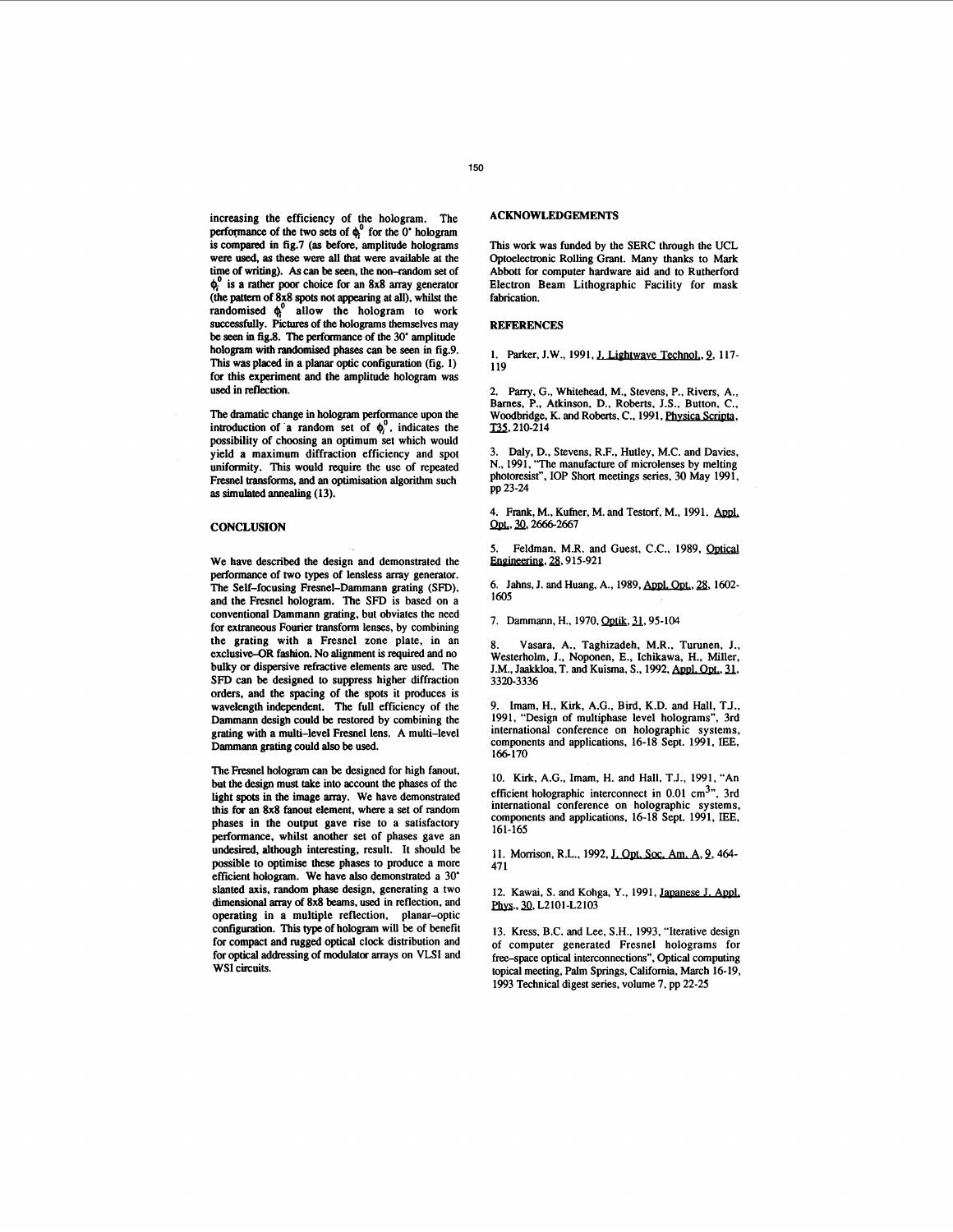increasing the efficiency of the hologram. The performance of the two sets of  $\phi_i^0$  for the 0<sup>°</sup> hologram is compared in fig.7 (as before, amplitude holograms were used, **as** these were all that were available at the time of **Writing).** *As can* **be** seen, the non-random *set* of **4'** is **a** rather **poor** choice for **an** 8x8 array generator (the pattern of 8x8 spots not appearing at all), whilst the randomised **4'** allow the hologram to work successfully. Pictures of the holograms themselves may be seen in fig.8. The performance of the 30<sup>°</sup> amplitude hologram with randomised phases can be seen in fig.9. This **was** placed in **a** planar optic configuration (fig. **1)**  for this experiment and the amplitude hologram was **used** in reflection.

The dramatic change in hologram performance upon the introduction of a random set of  $\phi_i^0$ , indicates the possibility of choosing an optimum **set** which would yield a maximum diffraction efficiency and spot uniformity. This would require the use of repeated Fresnel transforms, and an optimisation algorithm such **as simdatedannealing (13).** 

#### **CONCLUSION**

We have described the design and demonstrated the performance of **two** types of lensless array generator. The Self-focusing Fresnel-Dammann grating **(SFD),**  and the Fresnel hologram. The **SFD** is based on a conventional Dammann grating, but obviates the need for extraneous Fourier transform lenses, by combining the grating with a Fresnel zone plate, in an exclusive-OR fashion. No alignment is required and no bulky or dispersive refractive elements **are** used. The **SFD** can be designed **to** suppress higher diffraction orders, and the spacing of the **spots** it produces is wavelength independent. The full efficiency of the Dammann design could be restored by combining the grating with a multi-level Fresnel lens. A multi-level Dammann **grating** could also be **used.** 

The Fresnel hologram *can* be designed for high fanout, but the design must take into account the phases of the light spots in the image array. We have demonstrated this for **an** 8x8 fanout element, where a set of random phases in the output gave rise **to** a satisfactory performance, whilst another set of phases gave an undesired, although interesting, result. It should be possible to optimise these phases to produce a more efficient hologram. We have **also** demonstrated a **30'**  slanted axis, random phase design, generating a two **dimensional** array of 8x8 **beams, used** in reflection, and operating in a multiple reflection, planar-optic configuration. This **type** of hologram will be of benefit for compact and rugged optical clock distribution and for optical addressing of modulator arrays on VLSI and WSI circuits.

# **ACKNOWLEDGEMENTS**

This work was funded by the SERC through the UCL Optoelectronic Rolling Grant. Many thanks to Mark Abbott for computer hardware aid and **to** Rutherford Electron Beam Lithographic Facility for mask fabrication.

### **REFERENCES**

1. Parker, J.W., 1991, **J. Lightwave Technol**, 9, 117-**119** 

Parry, G., Whitehead, M., Stevens, P., Rivers, A., Barnes, P., Atkinson, D., Roberts, J.S., Button, C., Woodbridge, K. and Roberts, C., 1991, <u>Physica Scripta</u>,<br>T35. 210-214

Daly, D., Stevens, R.F., Hutley, M.C. and Davies, N., **1991,** 'The manufacture of microlenses by melting photoresist", IOP Short meetings series, **30** May **1991,**  pp **23-24** 

4. Frank, M., Kufner, M. and Testorf, M., 1991, Appl. **2010 5. Feldman, M.R. and Guest, C.C., 1989,** *Optical* **5. Feldman, M.R. and Guest, C.C., 1989,** *Optical* 

Engineering, 28, 915-921

6. **Jahns, J. and Huang, A., 1989, Appl. Opt., 28, 1602-1605** 

7. Dammann, H., 1970, Optik, 31, 95-104

8. Vasara, A., Taghizadeh, M.R., Turunen, J., Westerholm, J., Noponen, E., Ichikawa, H., Miller, 7. Dammann, H., 1970, <u>Optik, 31</u>, 95-104<br>8. Vasara, A., Taghizadeh, M.R., Turunen, J.,<br>Westerholm, J., Noponen, E., Ichikawa, H., Miller,<br>J.M., Jaakkloa, T. and Kuisma, S., 1992, <u>Appl. Opt.</u>, 31,<br>3320-3336 **3320-3336** 

**9.** Imam, H., Kirk, A.G., Bird, K.D. and Hall, T.J., **1991,** "Design of multiphase level holograms", 3rd international conference on holographic systems, components and applications, **16-18** Sept. **1991,** IEE, **166-170** 

**10.** Kirk, A.G., Imam, H. and Hall, T.J., **1991,** "An efficient holographic interconnect in  $0.01 \text{ cm}^3$ ", 3rd international conference on holographic systems, components and applications, **16-18** Sept. **1991,** IEE, **161-165** 

11. Morrison, R.L., 1992, J. Opt. Soc. Am. A, 9, 464-**47 1** 

12. Kawai, *S. and Kohga, Y., 1991, Japanese J. Appl.* **Phys., 30, L2101-L2103** 

13. Kress, B.C. and Lee, S.H., **1993,** "Iterative design of computer generated Fresnel holograms for free-space optical interconnections", Optical computing topical meeting, Palm Springs, Califomia, March **16-19, 1993** Technical digest series, volume **7,** pp **22-25**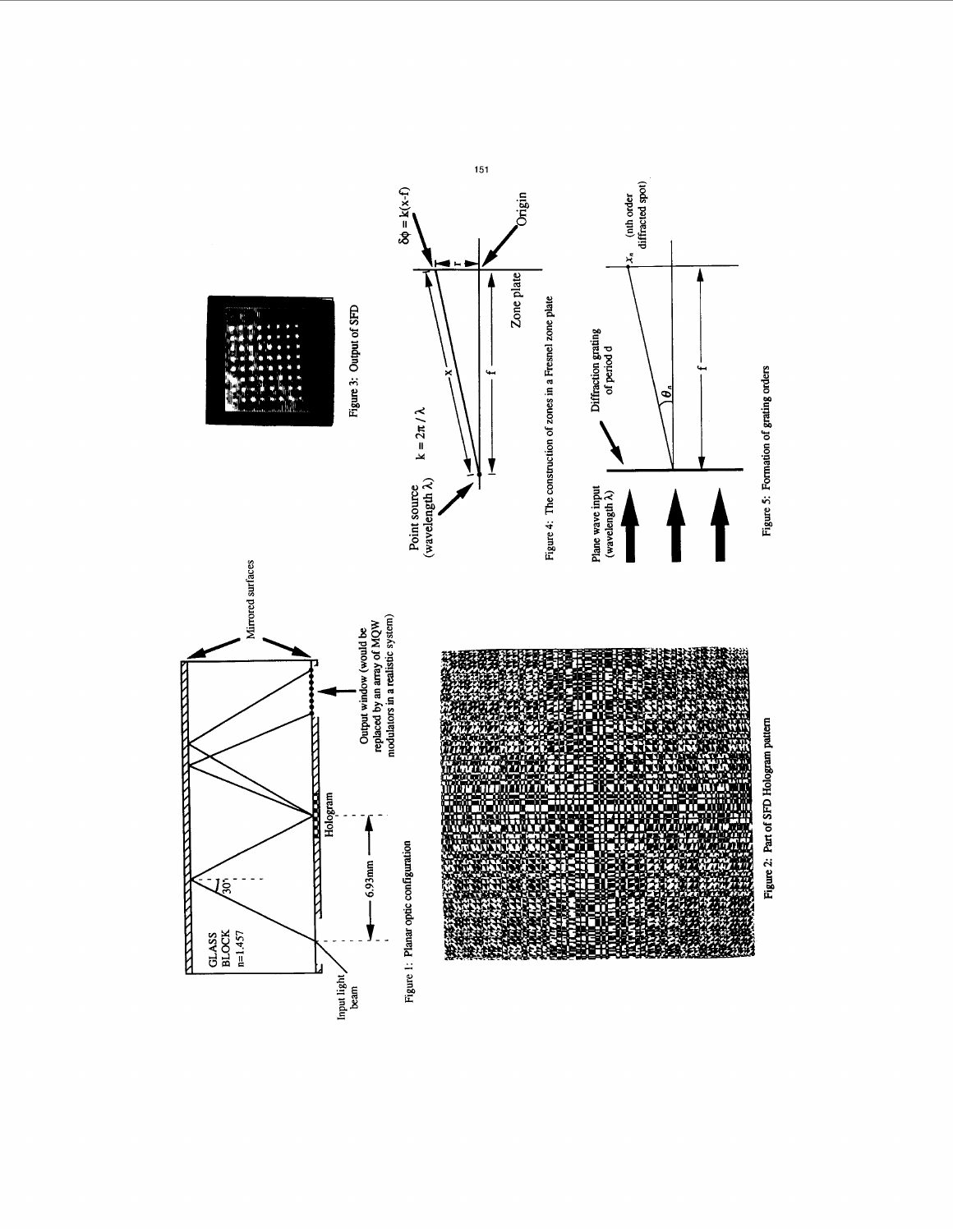